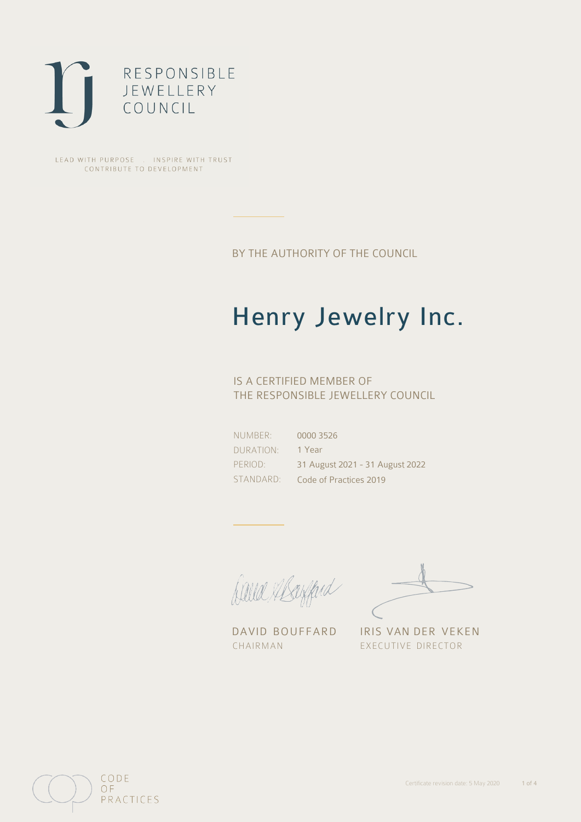

LEAD WITH PURPOSE . INSPIRE WITH TRUST CONTRIBUTE TO DEVELOPMENT

BY THE AUTHORITY OF THE COUNCIL

# Henry Jewelry Inc.

### IS A CERTIFIED MEMBER OF THE RESPONSIBLE JEWELLERY COUNCIL

NUMBER: DURATION: PERIOD: STANDARD:

0000 3526 1 Year 31 August 2021 - 31 August 2022 Code of Practices 2019

Caux Margaret

DAVID BOUFFARD IRIS VAN DER VEKEN CHAIRMAN EXECUTIVE DIRECTOR

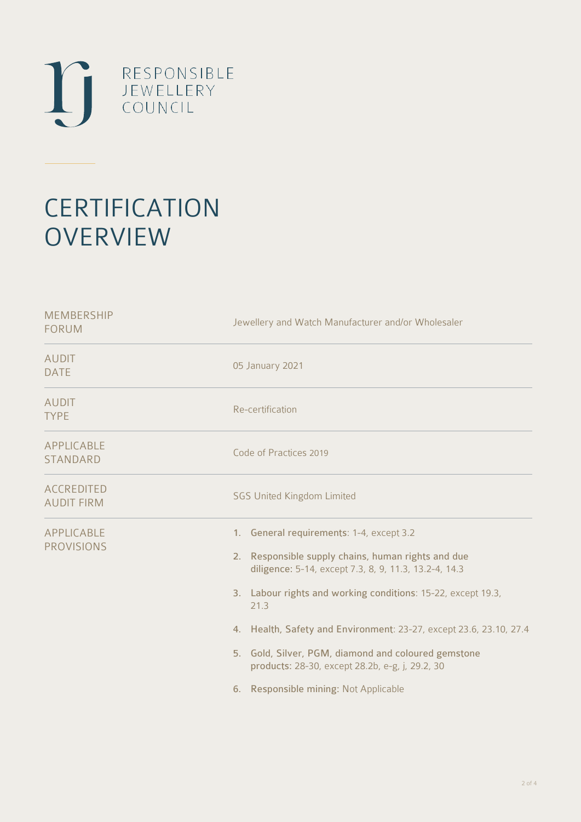

## **CERTIFICATION OVERVIEW**

| <b>MEMBERSHIP</b><br><b>FORUM</b>      | Jewellery and Watch Manufacturer and/or Wholesaler                                                                                                                                                                                                                                                                                                                                                                                                       |
|----------------------------------------|----------------------------------------------------------------------------------------------------------------------------------------------------------------------------------------------------------------------------------------------------------------------------------------------------------------------------------------------------------------------------------------------------------------------------------------------------------|
| <b>AUDIT</b><br><b>DATE</b>            | 05 January 2021                                                                                                                                                                                                                                                                                                                                                                                                                                          |
| <b>AUDIT</b><br><b>TYPE</b>            | Re-certification                                                                                                                                                                                                                                                                                                                                                                                                                                         |
| APPLICABLE<br><b>STANDARD</b>          | Code of Practices 2019                                                                                                                                                                                                                                                                                                                                                                                                                                   |
| <b>ACCREDITED</b><br><b>AUDIT FIRM</b> | <b>SGS United Kingdom Limited</b>                                                                                                                                                                                                                                                                                                                                                                                                                        |
| <b>APPLICABLE</b><br><b>PROVISIONS</b> | 1. General requirements: 1-4, except 3.2<br>2. Responsible supply chains, human rights and due<br>diligence: 5-14, except 7.3, 8, 9, 11.3, 13.2-4, 14.3<br>3. Labour rights and working conditions: 15-22, except 19.3,<br>21.3<br>4. Health, Safety and Environment: 23-27, except 23.6, 23.10, 27.4<br>5. Gold, Silver, PGM, diamond and coloured gemstone<br>products: 28-30, except 28.2b, e-g, j, 29.2, 30<br>6. Responsible mining: Not Applicable |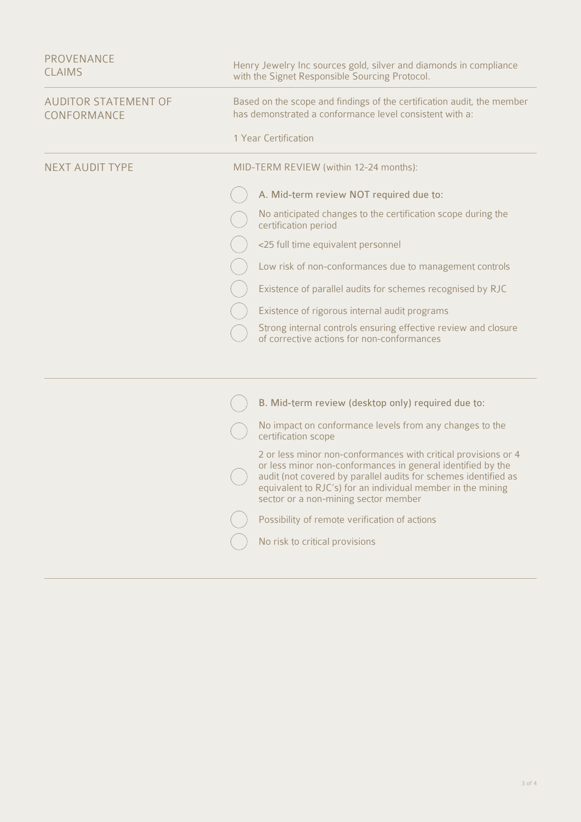| <b>PROVENANCE</b><br><b>CLAIMS</b>         | Henry Jewelry Inc sources gold, silver and diamonds in compliance<br>with the Signet Responsible Sourcing Protocol.                                                                                                                                                                                     |
|--------------------------------------------|---------------------------------------------------------------------------------------------------------------------------------------------------------------------------------------------------------------------------------------------------------------------------------------------------------|
| <b>AUDITOR STATEMENT OF</b><br>CONFORMANCE | Based on the scope and findings of the certification audit, the member<br>has demonstrated a conformance level consistent with a:                                                                                                                                                                       |
|                                            | 1 Year Certification                                                                                                                                                                                                                                                                                    |
| <b>NEXT AUDIT TYPE</b>                     | MID-TERM REVIEW (within 12-24 months):                                                                                                                                                                                                                                                                  |
|                                            | A. Mid-term review NOT required due to:                                                                                                                                                                                                                                                                 |
|                                            | No anticipated changes to the certification scope during the<br>certification period                                                                                                                                                                                                                    |
|                                            | <25 full time equivalent personnel                                                                                                                                                                                                                                                                      |
|                                            | Low risk of non-conformances due to management controls                                                                                                                                                                                                                                                 |
|                                            | Existence of parallel audits for schemes recognised by RJC                                                                                                                                                                                                                                              |
|                                            | Existence of rigorous internal audit programs                                                                                                                                                                                                                                                           |
|                                            | Strong internal controls ensuring effective review and closure<br>of corrective actions for non-conformances                                                                                                                                                                                            |
|                                            |                                                                                                                                                                                                                                                                                                         |
|                                            | B. Mid-term review (desktop only) required due to:                                                                                                                                                                                                                                                      |
|                                            | No impact on conformance levels from any changes to the<br>certification scope                                                                                                                                                                                                                          |
|                                            | 2 or less minor non-conformances with critical provisions or 4<br>or less minor non-conformances in general identified by the<br>audit (not covered by parallel audits for schemes identified as<br>equivalent to RJC's) for an individual member in the mining<br>sector or a non-mining sector member |
|                                            | Possibility of remote verification of actions                                                                                                                                                                                                                                                           |
|                                            | No risk to critical provisions                                                                                                                                                                                                                                                                          |